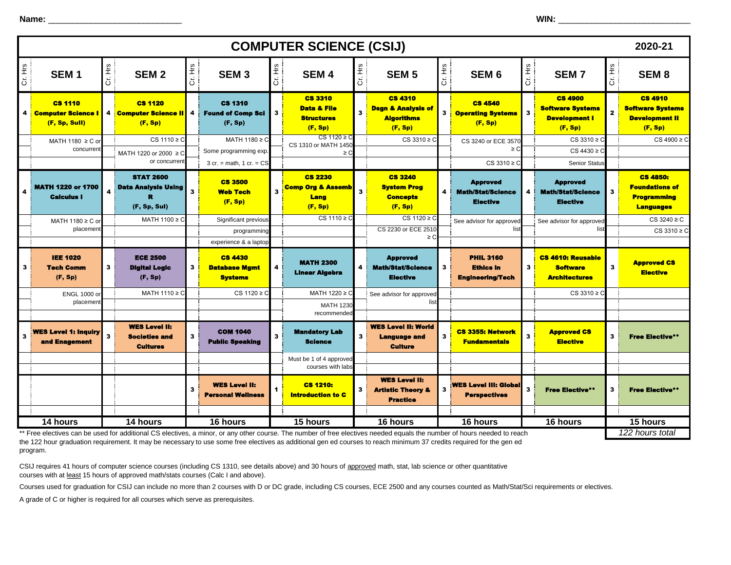**Name:** \_\_\_\_\_\_\_\_\_\_\_\_\_\_\_\_\_\_\_\_\_\_\_\_\_\_\_\_ **WIN:** \_\_\_\_\_\_\_\_\_\_\_\_\_\_\_\_\_\_\_\_\_\_\_\_\_\_\_\_\_\_

| <b>COMPUTER SCIENCE (CSIJ)</b><br>2020-21 |                                                            |              |                                                                 |                 |                                                                                   |                         |                                                                          |         |                                                                                 |         |                                                                                                                                                                                               |                         |                                                                              |              |                                                                                    |
|-------------------------------------------|------------------------------------------------------------|--------------|-----------------------------------------------------------------|-----------------|-----------------------------------------------------------------------------------|-------------------------|--------------------------------------------------------------------------|---------|---------------------------------------------------------------------------------|---------|-----------------------------------------------------------------------------------------------------------------------------------------------------------------------------------------------|-------------------------|------------------------------------------------------------------------------|--------------|------------------------------------------------------------------------------------|
| Cr. Hrs                                   | SEM <sub>1</sub>                                           | Cr. Hrs      | SEM <sub>2</sub>                                                | $\frac{24}{11}$ | SEM <sub>3</sub>                                                                  | Cr. Hrs                 | SEM <sub>4</sub>                                                         | Cr. Hrs | SEM <sub>5</sub>                                                                | Cr. Hrs | SEM <sub>6</sub>                                                                                                                                                                              | Cr. Hrs                 | <b>SEM7</b>                                                                  | Cr. Hrs      | SEM <sub>8</sub>                                                                   |
| 4                                         | <b>CS 1110</b><br><b>Computer Science</b><br>(F, Sp, Sull) |              | <b>CS 1120</b><br>4 Computer Science II<br>(F, Sp)              | 4               | <b>CS 1310</b><br><b>Found of Comp Sci</b><br>(F, Sp)                             | з                       | <b>CS 3310</b><br><b>Data &amp; File</b><br><b>Structures</b><br>(F, Sp) | 3       | <b>CS 4310</b><br><b>Dsgn &amp; Analysis of</b><br><b>Algorithms</b><br>(F, Sp) | 3       | <b>CS 4540</b><br><b>Operating Systems</b><br>(F, Sp)                                                                                                                                         | $3^{\circ}$             | <b>CS 4900</b><br><b>Software Systems</b><br><b>Development I</b><br>(F, Sp) | $\mathbf{z}$ | <b>CS 4910</b><br><b>Software Systems</b><br><b>Development II</b><br>(F, Sp)      |
|                                           | MATH 1180 ≥ C o<br>concurren                               |              | $CS 1110 \ge C$                                                 |                 | MATH $1180 \ge C$                                                                 |                         | $CS 1120 \geq C$<br>CS 1310 or MATH 1450                                 |         | $CS 3310 \geq C$                                                                |         | CS 3240 or ECE 3570<br>$\geq$ C                                                                                                                                                               |                         | $CS 3310 \geq C$                                                             |              | $CS 4900 \geq C$                                                                   |
|                                           |                                                            |              | MATH 1220 or 2000 ≥ C<br>or concurren                           |                 | Some programming exp.<br>$3$ cr. = math, $1$ cr. = $CS$                           |                         | ≥C                                                                       |         |                                                                                 |         | $CS 3310 \geq C$                                                                                                                                                                              |                         | $CS 4430 \geq C$<br><b>Senior Status</b>                                     |              |                                                                                    |
| 4                                         | <b>MATH 1220 or 1700</b><br><b>Calculus I</b>              |              | <b>STAT 2600</b><br><b>Data Analysis Using</b><br>(F, Sp, Sul)  | 3               | <b>CS 3500</b><br><b>Web Tech</b><br>(F, Sp)                                      | $\overline{\mathbf{3}}$ | <b>CS 2230</b><br><b>Comp Org &amp; Assemb</b><br>Lang<br>(F, Sp)        | 3       | <b>CS 3240</b><br><b>System Prog</b><br><b>Concepts</b><br>(F, Sp)              | 4       | <b>Approved</b><br><b>Math/Stat/Science</b><br><b>Elective</b>                                                                                                                                | $\overline{\mathbf{4}}$ | <b>Approved</b><br><b>Math/Stat/Science</b><br><b>Elective</b>               | з            | <b>CS 4850:</b><br><b>Foundations of</b><br><b>Programming</b><br><b>Languages</b> |
|                                           | MATH 1180 ≥ C or                                           |              | MATH 1100 ≥ C                                                   |                 | Significant previous                                                              |                         | $CS 1110 \geq C$                                                         |         | $CS 1120 \geq C$<br>CS 2230 or ECE 2510                                         |         | See advisor for approved<br>list                                                                                                                                                              |                         | See advisor for approved<br>list                                             |              | CS 3240 ≥ C                                                                        |
|                                           | placemen                                                   |              |                                                                 |                 | programming                                                                       |                         |                                                                          |         | ≥C                                                                              |         |                                                                                                                                                                                               |                         |                                                                              |              | $CS 3310 \geq C$                                                                   |
| 3                                         | <b>IEE 1020</b><br><b>Tech Comm</b><br>(F, Sp)             | $\mathbf{3}$ | <b>ECE 2500</b><br><b>Digital Logic</b><br>(F, Sp)              | 3               | experience & a laptop<br><b>CS 4430</b><br><b>Database Mgmt</b><br><b>Systems</b> | 4                       | <b>MATH 2300</b><br><b>Linear Algebra</b>                                | 4       | <b>Approved</b><br><b>Math/Stat/Science</b><br><b>Elective</b>                  | 3       | <b>PHIL 3160</b><br><b>Ethics in</b><br><b>Engineering/Tech</b>                                                                                                                               | $\mathbf{3}$            | <b>CS 4610: Reusable</b><br><b>Software</b><br><b>Architectures</b>          | $\mathbf{3}$ | <b>Approved CS</b><br><b>Elective</b>                                              |
|                                           | <b>ENGL 1000 o</b>                                         |              | MATH $1110 \ge C$                                               |                 | $CS 1120 \geq C$                                                                  |                         | MATH 1220 ≥ C                                                            |         | See advisor for approved                                                        |         |                                                                                                                                                                                               |                         | $CS 3310 \geq C$                                                             |              |                                                                                    |
|                                           | placemen                                                   |              |                                                                 |                 |                                                                                   |                         | <b>MATH 1230</b><br>recommended                                          |         | list                                                                            |         |                                                                                                                                                                                               |                         |                                                                              |              |                                                                                    |
|                                           | <b>WES Level 1: Inquiry</b><br>and Enagement               | $\mathbf{3}$ | <b>WES Level II:</b><br><b>Societies and</b><br><b>Cultures</b> | 3               | <b>COM 1040</b><br><b>Public Speaking</b>                                         | 3                       | <b>Mandatory Lab</b><br><b>Science</b>                                   | з       | <b>WES Level II: World</b><br><b>Language and</b><br><b>Culture</b>             | 3       | <b>CS 3355: Network</b><br><b>Fundamentals</b>                                                                                                                                                | 3                       | <b>Approved CS</b><br><b>Elective</b>                                        | 3            | <b>Free Elective**</b>                                                             |
|                                           |                                                            |              |                                                                 |                 |                                                                                   |                         | Must be 1 of 4 approved<br>courses with labs                             |         |                                                                                 |         |                                                                                                                                                                                               |                         |                                                                              |              |                                                                                    |
|                                           |                                                            |              |                                                                 | 3               | <b>WES Level II:</b><br><b>Personal Wellness</b>                                  |                         | <b>CS 1210:</b><br><b>Introduction to C</b>                              | 3       | <b>WES Level II:</b><br><b>Artistic Theory &amp;</b><br><b>Practice</b>         | 3       | <b>WES Level III: Global</b><br><b>Perspectives</b>                                                                                                                                           | 3                       | <b>Free Elective**</b>                                                       | 3            | <b>Free Elective**</b>                                                             |
|                                           |                                                            |              |                                                                 |                 |                                                                                   |                         |                                                                          |         |                                                                                 |         |                                                                                                                                                                                               |                         |                                                                              |              |                                                                                    |
|                                           | 14 hours                                                   |              | 14 hours                                                        |                 | 16 hours                                                                          |                         | 15 hours                                                                 |         | 16 hours                                                                        |         | $\overline{16}$ hours<br>Free electives can be used for additional CS electives, a minor, or any other course. The number of free electives needed equals the number of hours needed to reach |                         | 16 hours                                                                     |              | 15 hours<br>122 hours total                                                        |

\*\* Free electives can be used for additional CS electives, a minor, or any other course. The number of free electives needed equals the number of hours needed to reach the 122 hour graduation requirement. It may be necessary to use some free electives as additional gen ed courses to reach minimum 37 credits required for the gen ed program.

CSIJ requires 41 hours of computer science courses (including CS 1310, see details above) and 30 hours of approved math, stat, lab science or other quantitative courses with at least 15 hours of approved math/stats courses (Calc I and above).

Courses used for graduation for CSIJ can include no more than 2 courses with D or DC grade, including CS courses, ECE 2500 and any courses counted as Math/Stat/Sci requirements or electives.

A grade of C or higher is required for all courses which serve as prerequisites.